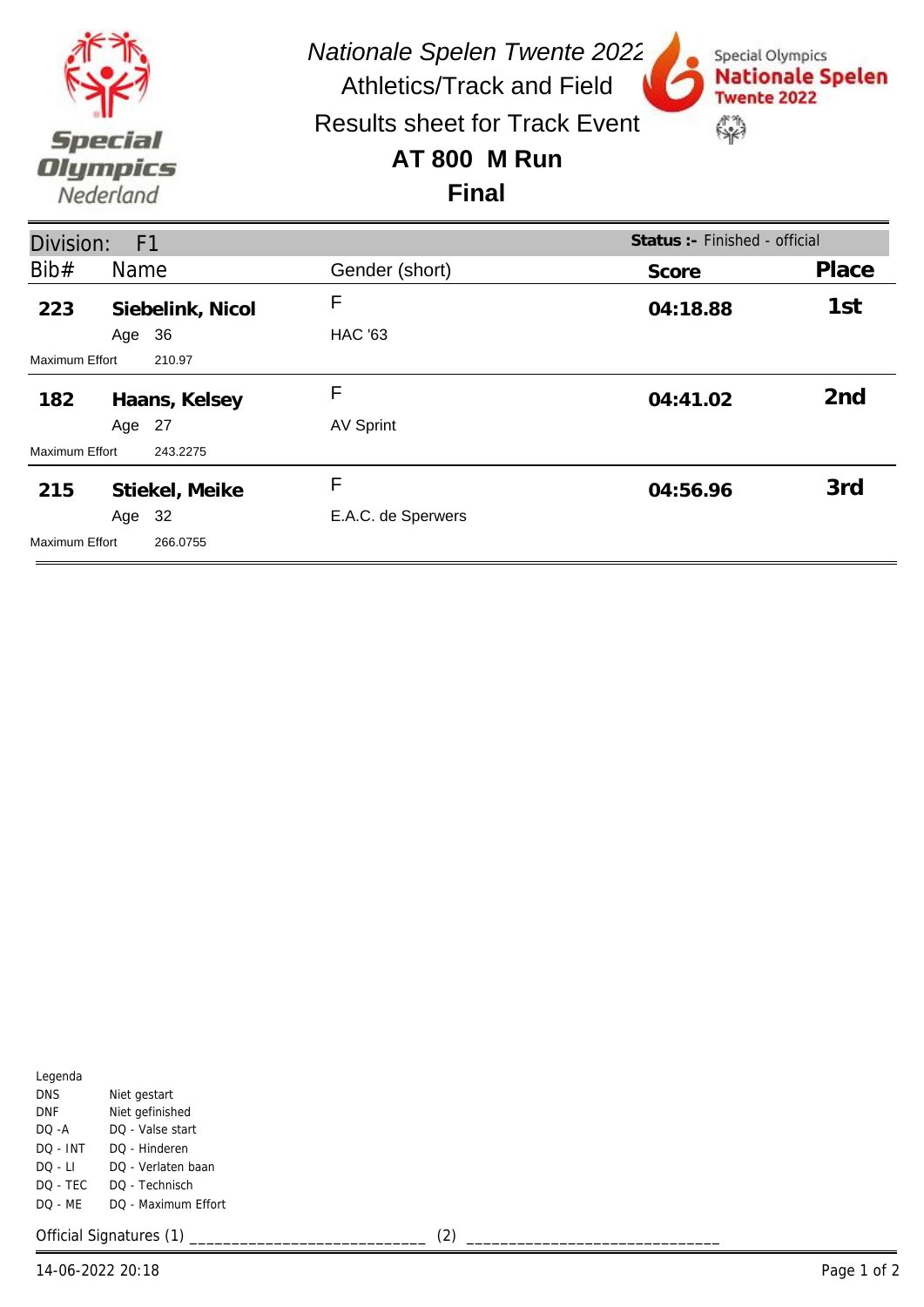

*Nationale Spelen Twente 2022* Athletics/Track and Field

Special Olympics

**Twente 2022** 

\$

**Nationale Spelen** 

Results sheet for Track Event

## **AT 800 M Run**

## **Final**

| Division:<br>Status: - Finished - official<br>F <sub>1</sub> |        |                  |                    |          |                 |
|--------------------------------------------------------------|--------|------------------|--------------------|----------|-----------------|
| Bib#                                                         | Name   |                  | Gender (short)     | Score    | Place           |
| 223                                                          |        | Siebelink, Nicol | F                  | 04:18.88 | 1st             |
|                                                              | Age    | 36               | <b>HAC '63</b>     |          |                 |
| <b>Maximum Effort</b>                                        |        | 210.97           |                    |          |                 |
| 182                                                          |        | Haans, Kelsey    | F                  | 04:41.02 | 2 <sub>nd</sub> |
|                                                              | Age 27 |                  | <b>AV Sprint</b>   |          |                 |
| Maximum Effort                                               |        | 243.2275         |                    |          |                 |
| 215                                                          |        | Stiekel, Meike   | F                  | 04:56.96 | 3rd             |
|                                                              | Age    | -32              | E.A.C. de Sperwers |          |                 |
| Maximum Effort                                               |        | 266.0755         |                    |          |                 |

| Legenda    |                     |
|------------|---------------------|
| <b>DNS</b> | Niet gestart        |
| DNF        | Niet gefinished     |
| DO -A      | DO - Valse start    |
| DO - INT   | DO - Hinderen       |
| DO - LI    | DO - Verlaten baan  |
| DO - TEC   | DO - Technisch      |
| DO - ME    | DO - Maximum Effort |
|            |                     |

Official Signatures (1) \_\_\_\_\_\_\_\_\_\_\_\_\_\_\_\_\_\_\_\_\_\_\_\_\_\_\_\_ (2) \_\_\_\_\_\_\_\_\_\_\_\_\_\_\_\_\_\_\_\_\_\_\_\_\_\_\_\_\_\_